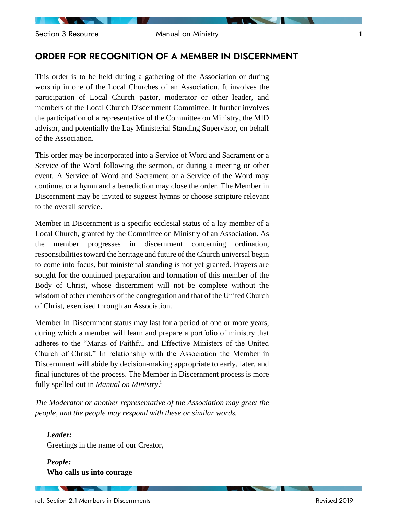Section 3 Resource **1 Manual on Ministry 1** 

# ORDER FOR RECOGNITION OF A MEMBER IN DISCERNMENT

This order is to be held during a gathering of the Association or during worship in one of the Local Churches of an Association. It involves the participation of Local Church pastor, moderator or other leader, and members of the Local Church Discernment Committee. It further involves the participation of a representative of the Committee on Ministry, the MID advisor, and potentially the Lay Ministerial Standing Supervisor, on behalf of the Association.

This order may be incorporated into a Service of Word and Sacrament or a Service of the Word following the sermon, or during a meeting or other event. A Service of Word and Sacrament or a Service of the Word may continue, or a hymn and a benediction may close the order. The Member in Discernment may be invited to suggest hymns or choose scripture relevant to the overall service.

Member in Discernment is a specific ecclesial status of a lay member of a Local Church, granted by the Committee on Ministry of an Association. As the member progresses in discernment concerning ordination, responsibilities toward the heritage and future of the Church universal begin to come into focus, but ministerial standing is not yet granted. Prayers are sought for the continued preparation and formation of this member of the Body of Christ, whose discernment will not be complete without the wisdom of other members of the congregation and that of the United Church of Christ, exercised through an Association.

Member in Discernment status may last for a period of one or more years, during which a member will learn and prepare a portfolio of ministry that adheres to the "Marks of Faithful and Effective Ministers of the United Church of Christ." In relationship with the Association the Member in Discernment will abide by decision-making appropriate to early, later, and final junctures of the process. The Member in Discernment process is more fully spelled out in *Manual on Ministry*. i

*The Moderator or another representative of the Association may greet the people, and the people may respond with these or similar words.*

*Leader:* Greetings in the name of our Creator,

*People:* **Who calls us into courage**

*Committee States*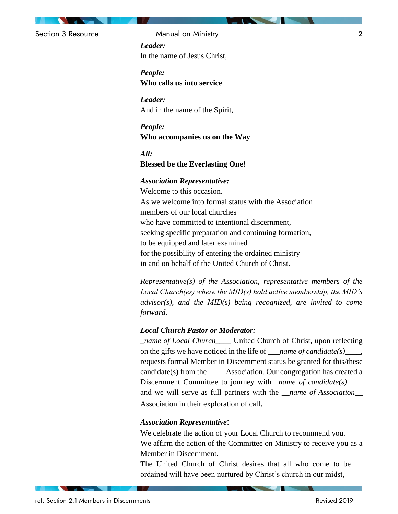# Section 3 Resource Manual on Ministry **2**

# *Leader:* In the name of Jesus Christ,

# *People:* **Who calls us into service**

*Leader:* And in the name of the Spirit,

*People:* **Who accompanies us on the Way**

*All:* **Blessed be the Everlasting One!**

### *Association Representative:*

Welcome to this occasion. As we welcome into formal status with the Association members of our local churches who have committed to intentional discernment, seeking specific preparation and continuing formation, to be equipped and later examined for the possibility of entering the ordained ministry in and on behalf of the United Church of Christ.

*Representative(s) of the Association, representative members of the Local Church(es) where the MID(s) hold active membership, the MID's advisor(s), and the MID(s) being recognized, are invited to come forward.*

# *Local Church Pastor or Moderator:*

\_*name of Local Church*\_\_\_\_ United Church of Christ, upon reflecting on the gifts we have noticed in the life of \_\_\_*name of candidate(s)*\_\_\_\_, requests formal Member in Discernment status be granted for this/these candidate(s) from the Association. Our congregation has created a Discernment Committee to journey with \_*name of candidate(s)*\_\_\_\_ and we will serve as full partners with the \_\_*name of Association*\_\_ Association in their exploration of call.

# *Association Representative*:

We celebrate the action of your Local Church to recommend you. We affirm the action of the Committee on Ministry to receive you as a Member in Discernment.

The United Church of Christ desires that all who come to be ordained will have been nurtured by Christ's church in our midst,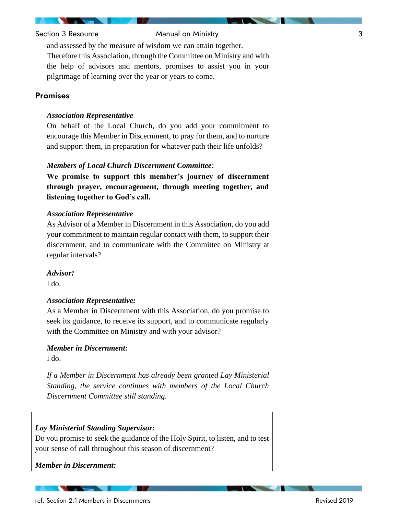# Section 3 Resource **3 Manual on Ministry 3**

and assessed by the measure of wisdom we can attain together. Therefore this Association, through the Committee on Ministry and with the help of advisors and mentors, promises to assist you in your pilgrimage of learning over the year or years to come.

# **Promises**

#### *Association Representative*

On behalf of the Local Church, do you add your commitment to encourage this Member in Discernment, to pray for them, and to nurture and support them, in preparation for whatever path their life unfolds?

#### *Members of Local Church Discernment Committee*:

**We promise to support this member's journey of discernment through prayer, encouragement, through meeting together, and listening together to God's call.**

#### *Association Representative*

As Advisor of a Member in Discernment in this Association, do you add your commitment to maintain regular contact with them, to support their discernment, and to communicate with the Committee on Ministry at regular intervals?

#### *Advisor:*

I do.

#### *Association Representative:*

As a Member in Discernment with this Association, do you promise to seek its guidance, to receive its support, and to communicate regularly with the Committee on Ministry and with your advisor?

#### *Member in Discernment:*

I do.

*If a Member in Discernment has already been granted Lay Ministerial Standing, the service continues with members of the Local Church Discernment Committee still standing.* 

#### *Lay Ministerial Standing Supervisor:*

Do you promise to seek the guidance of the Holy Spirit, to listen, and to test your sense of call throughout this season of discernment?

#### *Member in Discernment:*

**The Contract of Street**